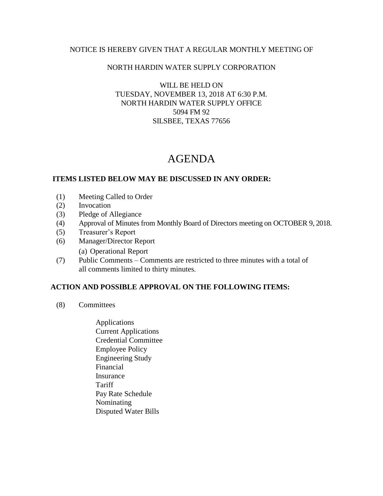### NOTICE IS HEREBY GIVEN THAT A REGULAR MONTHLY MEETING OF

# NORTH HARDIN WATER SUPPLY CORPORATION

# WILL BE HELD ON TUESDAY, NOVEMBER 13, 2018 AT 6:30 P.M. NORTH HARDIN WATER SUPPLY OFFICE 5094 FM 92 SILSBEE, TEXAS 77656

# AGENDA

## **ITEMS LISTED BELOW MAY BE DISCUSSED IN ANY ORDER:**

- (1) Meeting Called to Order
- (2) Invocation
- (3) Pledge of Allegiance
- (4) Approval of Minutes from Monthly Board of Directors meeting on OCTOBER 9, 2018.
- (5) Treasurer's Report
- (6) Manager/Director Report (a) Operational Report
- (7) Public Comments Comments are restricted to three minutes with a total of all comments limited to thirty minutes.

### **ACTION AND POSSIBLE APPROVAL ON THE FOLLOWING ITEMS:**

- (8) Committees
	- Applications Current Applications Credential Committee Employee Policy Engineering Study Financial Insurance **Tariff**  Pay Rate Schedule Nominating Disputed Water Bills